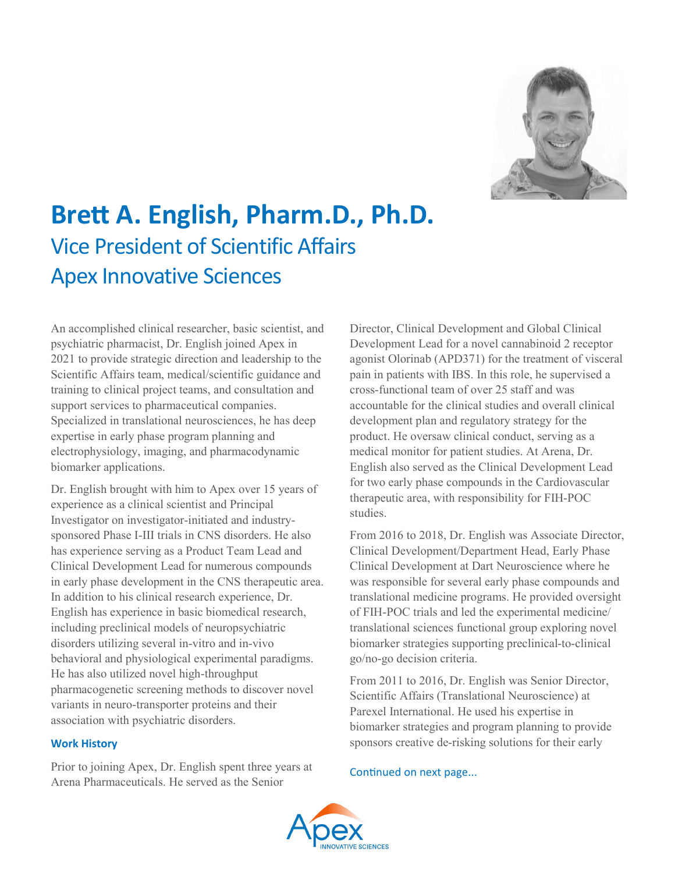

# **Brett A. English, Pharm.D., Ph.D.** Vice President of Scientific Affairs Apex Innovative Sciences

An accomplished clinical researcher, basic scientist, and psychiatric pharmacist, Dr. English joined Apex in 2021 to provide strategic direction and leadership to the Scientific Affairs team, medical/scientific guidance and training to clinical project teams, and consultation and support services to pharmaceutical companies. Specialized in translational neurosciences, he has deep expertise in early phase program planning and electrophysiology, imaging, and pharmacodynamic biomarker applications.

Dr. English brought with him to Apex over 15 years of experience as a clinical scientist and Principal Investigator on investigator-initiated and industrysponsored Phase I-III trials in CNS disorders. He also has experience serving as a Product Team Lead and Clinical Development Lead for numerous compounds in early phase development in the CNS therapeutic area. In addition to his clinical research experience, Dr. English has experience in basic biomedical research, including preclinical models of neuropsychiatric disorders utilizing several in-vitro and in-vivo behavioral and physiological experimental paradigms. He has also utilized novel high-throughput pharmacogenetic screening methods to discover novel variants in neuro-transporter proteins and their association with psychiatric disorders.

#### **Work History**

Prior to joining Apex, Dr. English spent three years at Arena Pharmaceuticals. He served as the Senior

Director, Clinical Development and Global Clinical Development Lead for a novel cannabinoid 2 receptor agonist Olorinab (APD371) for the treatment of visceral pain in patients with IBS. In this role, he supervised a cross-functional team of over 25 staff and was accountable for the clinical studies and overall clinical development plan and regulatory strategy for the product. He oversaw clinical conduct, serving as a medical monitor for patient studies. At Arena, Dr. English also served as the Clinical Development Lead for two early phase compounds in the Cardiovascular therapeutic area, with responsibility for FIH-POC studies.

From 2016 to 2018, Dr. English was Associate Director, Clinical Development/Department Head, Early Phase Clinical Development at Dart Neuroscience where he was responsible for several early phase compounds and translational medicine programs. He provided oversight of FIH-POC trials and led the experimental medicine/ translational sciences functional group exploring novel biomarker strategies supporting preclinical-to-clinical go/no-go decision criteria.

From 2011 to 2016, Dr. English was Senior Director, Scientific Affairs (Translational Neuroscience) at Parexel International. He used his expertise in biomarker strategies and program planning to provide sponsors creative de-risking solutions for their early

#### Continued on next page...